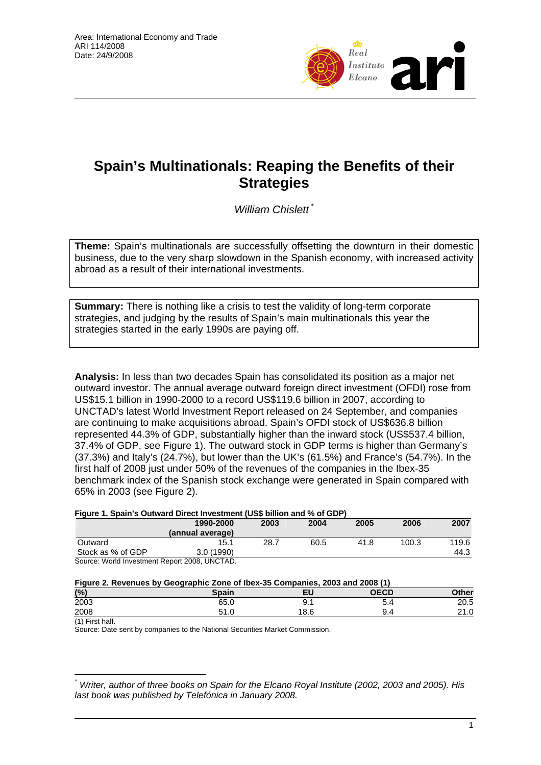

# **Spain's Multinationals: Reaping the Benefits of their Strategies**

*William Chislett* \*

**Theme:** Spain's multinationals are successfully offsetting the downturn in their domestic business, due to the very sharp slowdown in the Spanish economy, with increased activity abroad as a result of their international investments.

**Summary:** There is nothing like a crisis to test the validity of long-term corporate strategies, and judging by the results of Spain's main multinationals this year the strategies started in the early 1990s are paying off.

**Analysis:** In less than two decades Spain has consolidated its position as a major net outward investor. The annual average outward foreign direct investment (OFDI) rose from US\$15.1 billion in 1990-2000 to a record US\$119.6 billion in 2007, according to UNCTAD's latest World Investment Report released on 24 September, and companies are continuing to make acquisitions abroad. Spain's OFDI stock of US\$636.8 billion represented 44.3% of GDP, substantially higher than the inward stock (US\$537.4 billion, 37.4% of GDP, see Figure 1). The outward stock in GDP terms is higher than Germany's (37.3%) and Italy's (24.7%), but lower than the UK's (61.5%) and France's (54.7%). In the first half of 2008 just under 50% of the revenues of the companies in the Ibex-35 benchmark index of the Spanish stock exchange were generated in Spain compared with 65% in 2003 (see Figure 2).

#### **Figure 1. Spain's Outward Direct Investment (US\$ billion and % of GDP)**

|                   | 1990-2000<br>(annual average) | 2003 | 2004 | 2005 | 2006  | 2007  |
|-------------------|-------------------------------|------|------|------|-------|-------|
| Outward           | 15.1                          | 28.7 | 60.5 | 41.8 | 100.3 | 119.6 |
| Stock as % of GDP | 3.0(1990)                     |      |      |      |       | 44.3  |

Source: World Investment Report 2008, UNCTAD.

| Figure 2. Revenues by Geographic Zone of Ibex-35 Companies, 2003 and 2008 (1) |       |      |      |       |  |  |
|-------------------------------------------------------------------------------|-------|------|------|-------|--|--|
| (%)                                                                           | Spain | ΕU   | OECD | Other |  |  |
| 2003                                                                          | 65.0  | 9.1  | 5.4  | 20.5  |  |  |
| 2008                                                                          | 51.0  | 18.6 | 9.4  | 21.0  |  |  |

(1) First half.

 $\overline{a}$ 

Source: Date sent by companies to the National Securities Market Commission.

*<sup>\*</sup> Writer, author of three books on Spain for the Elcano Royal Institute (2002, 2003 and 2005). His last book was published by Telefónica in January 2008.*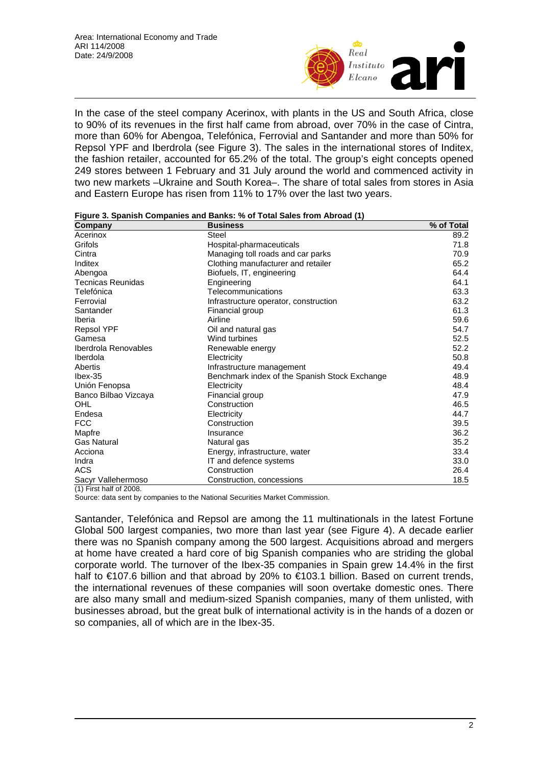

In the case of the steel company Acerinox, with plants in the US and South Africa, close to 90% of its revenues in the first half came from abroad, over 70% in the case of Cintra, more than 60% for Abengoa, Telefónica, Ferrovial and Santander and more than 50% for Repsol YPF and Iberdrola (see Figure 3). The sales in the international stores of Inditex, the fashion retailer, accounted for 65.2% of the total. The group's eight concepts opened 249 stores between 1 February and 31 July around the world and commenced activity in two new markets –Ukraine and South Korea–. The share of total sales from stores in Asia and Eastern Europe has risen from 11% to 17% over the last two years.

| Figure 3. Spanish Companies and Banks: % of Total Sales from Abroad (1) |  |  |  |
|-------------------------------------------------------------------------|--|--|--|
|                                                                         |  |  |  |

| Company                  | <b>Business</b>                               | % of Total |
|--------------------------|-----------------------------------------------|------------|
| Acerinox                 | Steel                                         | 89.2       |
| Grifols                  | Hospital-pharmaceuticals                      | 71.8       |
| Cintra                   | Managing toll roads and car parks             | 70.9       |
| Inditex                  | Clothing manufacturer and retailer            | 65.2       |
| Abengoa                  | Biofuels, IT, engineering                     | 64.4       |
| <b>Tecnicas Reunidas</b> | Engineering                                   | 64.1       |
| Telefónica               | Telecommunications                            | 63.3       |
| Ferrovial                | Infrastructure operator, construction         | 63.2       |
| Santander                | Financial group                               | 61.3       |
| Iberia                   | Airline                                       | 59.6       |
| <b>Repsol YPF</b>        | Oil and natural gas                           | 54.7       |
| Gamesa                   | Wind turbines                                 | 52.5       |
| Iberdrola Renovables     | Renewable energy                              | 52.2       |
| Iberdola                 | Electricity                                   | 50.8       |
| Abertis                  | Infrastructure management                     | 49.4       |
| $l$ bex-35               | Benchmark index of the Spanish Stock Exchange | 48.9       |
| Unión Fenopsa            | Electricity                                   | 48.4       |
| Banco Bilbao Vizcaya     | Financial group                               | 47.9       |
| OHL                      | Construction                                  | 46.5       |
| Endesa                   | Electricity                                   | 44.7       |
| <b>FCC</b>               | Construction                                  | 39.5       |
| Mapfre                   | Insurance                                     | 36.2       |
| <b>Gas Natural</b>       | Natural gas                                   | 35.2       |
| Acciona                  | Energy, infrastructure, water                 | 33.4       |
| Indra                    | IT and defence systems                        | 33.0       |
| <b>ACS</b>               | Construction                                  | 26.4       |
| Sacyr Vallehermoso       | Construction, concessions                     | 18.5       |

(1) First half of 2008.

Source: data sent by companies to the National Securities Market Commission.

Santander, Telefónica and Repsol are among the 11 multinationals in the latest Fortune Global 500 largest companies, two more than last year (see Figure 4). A decade earlier there was no Spanish company among the 500 largest. Acquisitions abroad and mergers at home have created a hard core of big Spanish companies who are striding the global corporate world. The turnover of the Ibex-35 companies in Spain grew 14.4% in the first half to €107.6 billion and that abroad by 20% to €103.1 billion. Based on current trends, the international revenues of these companies will soon overtake domestic ones. There are also many small and medium-sized Spanish companies, many of them unlisted, with businesses abroad, but the great bulk of international activity is in the hands of a dozen or so companies, all of which are in the Ibex-35.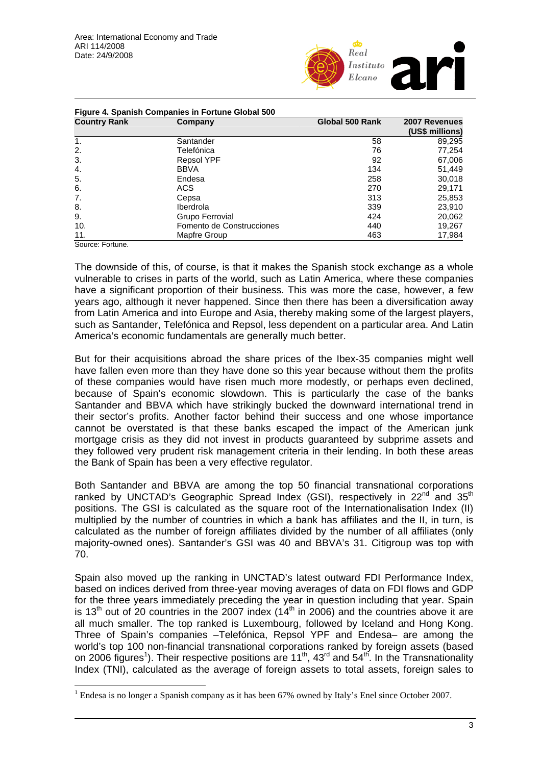

| <b>Country Rank</b> | Company                   | Global 500 Rank | 2007 Revenues<br>(US\$ millions) |
|---------------------|---------------------------|-----------------|----------------------------------|
| $\mathbf{1}$ .      | Santander                 | 58              | 89,295                           |
| 2.                  | Telefónica                | 76              | 77,254                           |
| 3.                  | <b>Repsol YPF</b>         | 92              | 67,006                           |
| 4.                  | <b>BBVA</b>               | 134             | 51,449                           |
| 5.                  | Endesa                    | 258             | 30,018                           |
| 6.                  | ACS                       | 270             | 29,171                           |
| 7.                  | Cepsa                     | 313             | 25,853                           |
| 8.                  | <b>Iberdrola</b>          | 339             | 23,910                           |
| 9.                  | Grupo Ferrovial           | 424             | 20,062                           |
| 10.                 | Fomento de Construcciones | 440             | 19,267                           |
| 11.                 | Mapfre Group              | 463             | 17,984                           |

Source: Fortune.

 $\overline{a}$ 

The downside of this, of course, is that it makes the Spanish stock exchange as a whole vulnerable to crises in parts of the world, such as Latin America, where these companies have a significant proportion of their business. This was more the case, however, a few years ago, although it never happened. Since then there has been a diversification away from Latin America and into Europe and Asia, thereby making some of the largest players, such as Santander, Telefónica and Repsol, less dependent on a particular area. And Latin America's economic fundamentals are generally much better.

But for their acquisitions abroad the share prices of the Ibex-35 companies might well have fallen even more than they have done so this year because without them the profits of these companies would have risen much more modestly, or perhaps even declined, because of Spain's economic slowdown. This is particularly the case of the banks Santander and BBVA which have strikingly bucked the downward international trend in their sector's profits. Another factor behind their success and one whose importance cannot be overstated is that these banks escaped the impact of the American junk mortgage crisis as they did not invest in products guaranteed by subprime assets and they followed very prudent risk management criteria in their lending. In both these areas the Bank of Spain has been a very effective regulator.

Both Santander and BBVA are among the top 50 financial transnational corporations ranked by UNCTAD's Geographic Spread Index (GSI), respectively in  $22^{nd}$  and  $35^{th}$ positions. The GSI is calculated as the square root of the Internationalisation Index (II) multiplied by the number of countries in which a bank has affiliates and the II, in turn, is calculated as the number of foreign affiliates divided by the number of all affiliates (only majority-owned ones). Santander's GSI was 40 and BBVA's 31. Citigroup was top with 70.

Spain also moved up the ranking in UNCTAD's latest outward FDI Performance Index, based on indices derived from three-year moving averages of data on FDI flows and GDP for the three years immediately preceding the year in question including that year. Spain is 13<sup>th</sup> out of 20 countries in the 2007 index ( $14<sup>th</sup>$  in 2006) and the countries above it are all much smaller. The top ranked is Luxembourg, followed by Iceland and Hong Kong. Three of Spain's companies –Telefónica, Repsol YPF and Endesa– are among the world's top 100 non-financial transnational corporations ranked by foreign assets (based on 2006 figures<sup>1</sup>). Their respective positions are 11<sup>th</sup>, 43<sup>rd</sup> and 54<sup>th</sup>. In the Transnationality Index (TNI), calculated as the average of foreign assets to total assets, foreign sales to

<sup>&</sup>lt;sup>1</sup> Endesa is no longer a Spanish company as it has been  $67\%$  owned by Italy's Enel since October 2007.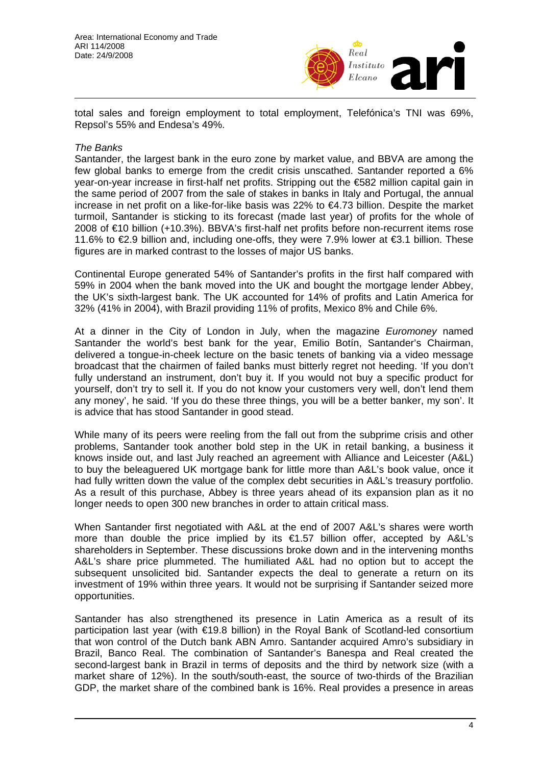

total sales and foreign employment to total employment, Telefónica's TNI was 69%, Repsol's 55% and Endesa's 49%.

### *The Banks*

Santander, the largest bank in the euro zone by market value, and BBVA are among the few global banks to emerge from the credit crisis unscathed. Santander reported a 6% year-on-year increase in first-half net profits. Stripping out the €582 million capital gain in the same period of 2007 from the sale of stakes in banks in Italy and Portugal, the annual increase in net profit on a like-for-like basis was 22% to €4.73 billion. Despite the market turmoil, Santander is sticking to its forecast (made last year) of profits for the whole of 2008 of €10 billion (+10.3%). BBVA's first-half net profits before non-recurrent items rose 11.6% to €2.9 billion and, including one-offs, they were 7.9% lower at €3.1 billion. These figures are in marked contrast to the losses of major US banks.

Continental Europe generated 54% of Santander's profits in the first half compared with 59% in 2004 when the bank moved into the UK and bought the mortgage lender Abbey, the UK's sixth-largest bank. The UK accounted for 14% of profits and Latin America for 32% (41% in 2004), with Brazil providing 11% of profits, Mexico 8% and Chile 6%.

At a dinner in the City of London in July, when the magazine *Euromoney* named Santander the world's best bank for the year, Emilio Botín, Santander's Chairman, delivered a tongue-in-cheek lecture on the basic tenets of banking via a video message broadcast that the chairmen of failed banks must bitterly regret not heeding. 'If you don't fully understand an instrument, don't buy it. If you would not buy a specific product for yourself, don't try to sell it. If you do not know your customers very well, don't lend them any money', he said. 'If you do these three things, you will be a better banker, my son'. It is advice that has stood Santander in good stead.

While many of its peers were reeling from the fall out from the subprime crisis and other problems, Santander took another bold step in the UK in retail banking, a business it knows inside out, and last July reached an agreement with Alliance and Leicester (A&L) to buy the beleaguered UK mortgage bank for little more than A&L's book value, once it had fully written down the value of the complex debt securities in A&L's treasury portfolio. As a result of this purchase, Abbey is three years ahead of its expansion plan as it no longer needs to open 300 new branches in order to attain critical mass.

When Santander first negotiated with A&L at the end of 2007 A&L's shares were worth more than double the price implied by its €1.57 billion offer, accepted by A&L's shareholders in September. These discussions broke down and in the intervening months A&L's share price plummeted. The humiliated A&L had no option but to accept the subsequent unsolicited bid. Santander expects the deal to generate a return on its investment of 19% within three years. It would not be surprising if Santander seized more opportunities.

Santander has also strengthened its presence in Latin America as a result of its participation last year (with €19.8 billion) in the Royal Bank of Scotland-led consortium that won control of the Dutch bank ABN Amro. Santander acquired Amro's subsidiary in Brazil, Banco Real. The combination of Santander's Banespa and Real created the second-largest bank in Brazil in terms of deposits and the third by network size (with a market share of 12%). In the south/south-east, the source of two-thirds of the Brazilian GDP, the market share of the combined bank is 16%. Real provides a presence in areas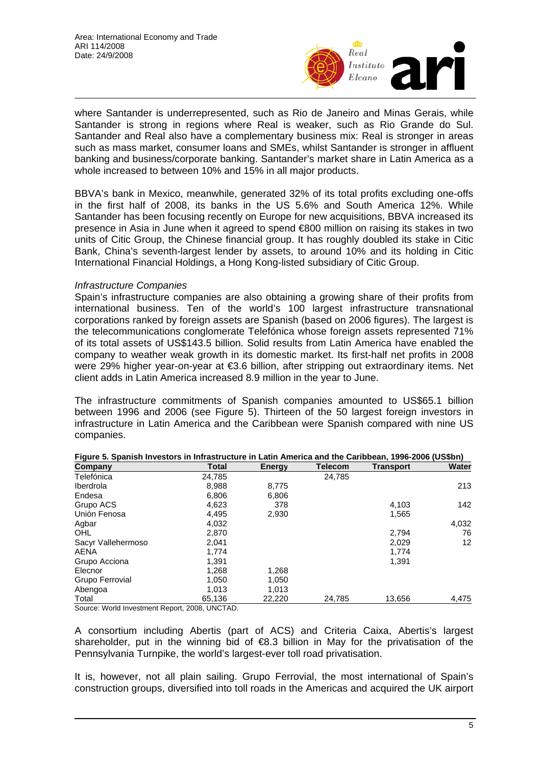

where Santander is underrepresented, such as Rio de Janeiro and Minas Gerais, while Santander is strong in regions where Real is weaker, such as Rio Grande do Sul. Santander and Real also have a complementary business mix: Real is stronger in areas such as mass market, consumer loans and SMEs, whilst Santander is stronger in affluent banking and business/corporate banking. Santander's market share in Latin America as a whole increased to between 10% and 15% in all major products.

BBVA's bank in Mexico, meanwhile, generated 32% of its total profits excluding one-offs in the first half of 2008, its banks in the US 5.6% and South America 12%. While Santander has been focusing recently on Europe for new acquisitions, BBVA increased its presence in Asia in June when it agreed to spend €800 million on raising its stakes in two units of Citic Group, the Chinese financial group. It has roughly doubled its stake in Citic Bank, China's seventh-largest lender by assets, to around 10% and its holding in Citic International Financial Holdings, a Hong Kong-listed subsidiary of Citic Group.

## *Infrastructure Companies*

Spain's infrastructure companies are also obtaining a growing share of their profits from international business. Ten of the world's 100 largest infrastructure transnational corporations ranked by foreign assets are Spanish (based on 2006 figures). The largest is the telecommunications conglomerate Telefónica whose foreign assets represented 71% of its total assets of US\$143.5 billion. Solid results from Latin America have enabled the company to weather weak growth in its domestic market. Its first-half net profits in 2008 were 29% higher year-on-year at €3.6 billion, after stripping out extraordinary items. Net client adds in Latin America increased 8.9 million in the year to June.

The infrastructure commitments of Spanish companies amounted to US\$65.1 billion between 1996 and 2006 (see Figure 5). Thirteen of the 50 largest foreign investors in infrastructure in Latin America and the Caribbean were Spanish compared with nine US companies.

| Company                                | Total  | Energy | <b>Telecom</b> | <b>Transport</b> | Water |
|----------------------------------------|--------|--------|----------------|------------------|-------|
| Telefónica                             | 24,785 |        | 24,785         |                  |       |
| Iberdrola                              | 8,988  | 8.775  |                |                  | 213   |
| Endesa                                 | 6,806  | 6,806  |                |                  |       |
| Grupo ACS                              | 4.623  | 378    |                | 4,103            | 142   |
| Unión Fenosa                           | 4,495  | 2,930  |                | 1,565            |       |
| Agbar                                  | 4,032  |        |                |                  | 4,032 |
| OHL                                    | 2,870  |        |                | 2,794            | 76    |
| Sacyr Vallehermoso                     | 2,041  |        |                | 2,029            | 12    |
| AENA                                   | 1.774  |        |                | 1.774            |       |
| Grupo Acciona                          | 1.391  |        |                | 1,391            |       |
| Elecnor                                | 1,268  | 1,268  |                |                  |       |
| Grupo Ferrovial                        | 1,050  | 1,050  |                |                  |       |
| Abengoa                                | 1.013  | 1.013  |                |                  |       |
| Total<br>$\overline{\phantom{0}}$<br>. | 65,136 | 22,220 | 24,785         | 13,656           | 4,475 |

|                                           | Figure 5. Spanish Investors in Infrastructure in Latin America and the Caribbean, 1996-2006 (US\$bn) |  |  |
|-------------------------------------------|------------------------------------------------------------------------------------------------------|--|--|
| $\sim$ $\sim$ $\sim$ $\sim$ $\sim$ $\sim$ |                                                                                                      |  |  |

Source: World Investment Report, 2008, UNCTAD.

A consortium including Abertis (part of ACS) and Criteria Caixa, Abertis's largest shareholder, put in the winning bid of  $\bigoplus$ . 3 billion in May for the privatisation of the Pennsylvania Turnpike, the world's largest-ever toll road privatisation.

It is, however, not all plain sailing. Grupo Ferrovial, the most international of Spain's construction groups, diversified into toll roads in the Americas and acquired the UK airport